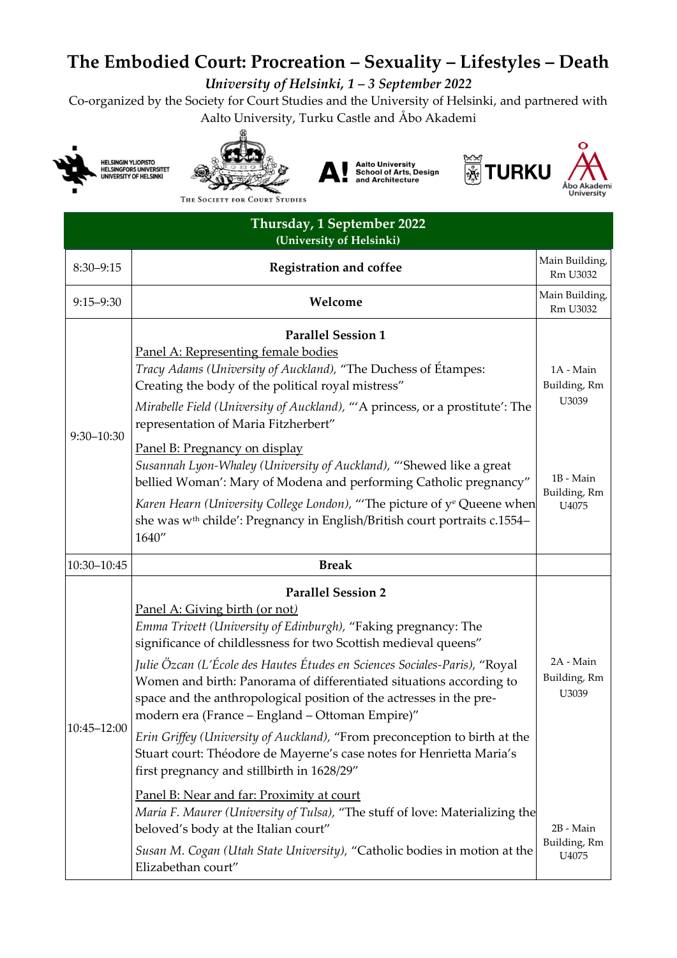## **The Embodied Court: Procreation – Sexuality – Lifestyles – Death**

*University of Helsinki, 1 – 3 September 2022*

Co-organized by the Society for Court Studies and the University of Helsinki, and partnered with Aalto University, Turku Castle and Åbo Akademi











THE SOCIETY FOR COURT STUDIES

| Thursday, 1 September 2022<br>(University of Helsinki) |                                                                                                                                                                                                                                                                                                                                                                                                                                                                                                                                                                                                                                                                              |                                                                          |
|--------------------------------------------------------|------------------------------------------------------------------------------------------------------------------------------------------------------------------------------------------------------------------------------------------------------------------------------------------------------------------------------------------------------------------------------------------------------------------------------------------------------------------------------------------------------------------------------------------------------------------------------------------------------------------------------------------------------------------------------|--------------------------------------------------------------------------|
| $8:30 - 9:15$                                          | <b>Registration and coffee</b>                                                                                                                                                                                                                                                                                                                                                                                                                                                                                                                                                                                                                                               | Main Building,<br>Rm U3032                                               |
| $9:15 - 9:30$                                          | Welcome                                                                                                                                                                                                                                                                                                                                                                                                                                                                                                                                                                                                                                                                      | Main Building,<br>Rm U3032                                               |
| 9:30-10:30                                             | <b>Parallel Session 1</b><br>Panel A: Representing female bodies<br>Tracy Adams (University of Auckland), "The Duchess of Étampes:<br>Creating the body of the political royal mistress"<br>Mirabelle Field (University of Auckland), "'A princess, or a prostitute': The<br>representation of Maria Fitzherbert"<br>Panel B: Pregnancy on display<br>Susannah Lyon-Whaley (University of Auckland), "'Shewed like a great<br>bellied Woman': Mary of Modena and performing Catholic pregnancy"<br>Karen Hearn (University College London), "The picture of ye Queene when<br>she was w <sup>th</sup> childe': Pregnancy in English/British court portraits c.1554-<br>1640" | 1A - Main<br>Building, Rm<br>U3039<br>1B - Main<br>Building, Rm<br>U4075 |
| 10:30-10:45                                            | <b>Break</b>                                                                                                                                                                                                                                                                                                                                                                                                                                                                                                                                                                                                                                                                 |                                                                          |
| 10:45-12:00                                            | <b>Parallel Session 2</b><br>Panel A: Giving birth (or not)<br>Emma Trivett (University of Edinburgh), "Faking pregnancy: The<br>significance of childlessness for two Scottish medieval queens"<br>Julie Özcan (L'École des Hautes Études en Sciences Sociales-Paris), "Royal<br>Women and birth: Panorama of differentiated situations according to<br>space and the anthropological position of the actresses in the pre-<br>modern era (France - England - Ottoman Empire)"                                                                                                                                                                                              | 2A - Main<br>Building, Rm<br>U3039                                       |
|                                                        | Erin Griffey (University of Auckland), "From preconception to birth at the<br>Stuart court: Théodore de Mayerne's case notes for Henrietta Maria's<br>first pregnancy and stillbirth in 1628/29"<br>Panel B: Near and far: Proximity at court<br>Maria F. Maurer (University of Tulsa), "The stuff of love: Materializing the<br>beloved's body at the Italian court"<br>Susan M. Cogan (Utah State University), "Catholic bodies in motion at the<br>Elizabethan court"                                                                                                                                                                                                     | 2B - Main<br>Building, Rm<br>U4075                                       |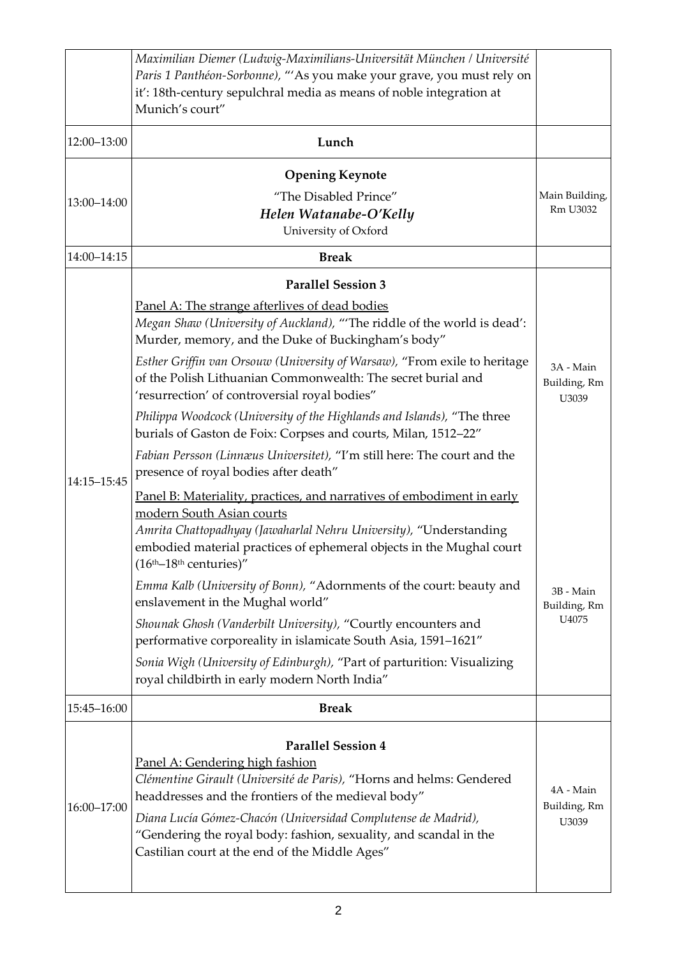|             | Maximilian Diemer (Ludwig-Maximilians-Universität München / Université                                                                                                                                                                                                                                                                                                              |                                    |
|-------------|-------------------------------------------------------------------------------------------------------------------------------------------------------------------------------------------------------------------------------------------------------------------------------------------------------------------------------------------------------------------------------------|------------------------------------|
|             | Paris 1 Panthéon-Sorbonne), "'As you make your grave, you must rely on<br>it': 18th-century sepulchral media as means of noble integration at                                                                                                                                                                                                                                       |                                    |
|             | Munich's court"                                                                                                                                                                                                                                                                                                                                                                     |                                    |
| 12:00-13:00 | Lunch                                                                                                                                                                                                                                                                                                                                                                               |                                    |
| 13:00-14:00 | <b>Opening Keynote</b>                                                                                                                                                                                                                                                                                                                                                              |                                    |
|             | "The Disabled Prince"                                                                                                                                                                                                                                                                                                                                                               | Main Building,                     |
|             | Helen Watanabe-O'Kelly<br>University of Oxford                                                                                                                                                                                                                                                                                                                                      | Rm U3032                           |
| 14:00-14:15 | <b>Break</b>                                                                                                                                                                                                                                                                                                                                                                        |                                    |
|             | <b>Parallel Session 3</b>                                                                                                                                                                                                                                                                                                                                                           |                                    |
|             | Panel A: The strange afterlives of dead bodies<br>Megan Shaw (University of Auckland), "The riddle of the world is dead':<br>Murder, memory, and the Duke of Buckingham's body"                                                                                                                                                                                                     | 3A - Main<br>Building, Rm<br>U3039 |
|             | Esther Griffin van Orsouw (University of Warsaw), "From exile to heritage<br>of the Polish Lithuanian Commonwealth: The secret burial and<br>'resurrection' of controversial royal bodies"                                                                                                                                                                                          |                                    |
|             | Philippa Woodcock (University of the Highlands and Islands), "The three<br>burials of Gaston de Foix: Corpses and courts, Milan, 1512-22"                                                                                                                                                                                                                                           |                                    |
| 14:15-15:45 | Fabian Persson (Linnæus Universitet), "I'm still here: The court and the<br>presence of royal bodies after death"                                                                                                                                                                                                                                                                   |                                    |
|             | Panel B: Materiality, practices, and narratives of embodiment in early<br>modern South Asian courts<br>Amrita Chattopadhyay (Jawaharlal Nehru University), "Understanding<br>embodied material practices of ephemeral objects in the Mughal court<br>$(16th-18th$ centuries)"                                                                                                       |                                    |
|             | Emma Kalb (University of Bonn), "Adornments of the court: beauty and<br>enslavement in the Mughal world"                                                                                                                                                                                                                                                                            | 3B - Main<br>Building, Rm<br>U4075 |
|             | Shounak Ghosh (Vanderbilt University), "Courtly encounters and<br>performative corporeality in islamicate South Asia, 1591-1621"                                                                                                                                                                                                                                                    |                                    |
|             | Sonia Wigh (University of Edinburgh), "Part of parturition: Visualizing<br>royal childbirth in early modern North India"                                                                                                                                                                                                                                                            |                                    |
| 15:45-16:00 | <b>Break</b>                                                                                                                                                                                                                                                                                                                                                                        |                                    |
| 16:00-17:00 | <b>Parallel Session 4</b><br>Panel A: Gendering high fashion<br>Clémentine Girault (Université de Paris), "Horns and helms: Gendered<br>headdresses and the frontiers of the medieval body"<br>Diana Lucía Gómez-Chacón (Universidad Complutense de Madrid),<br>"Gendering the royal body: fashion, sexuality, and scandal in the<br>Castilian court at the end of the Middle Ages" | 4A - Main<br>Building, Rm<br>U3039 |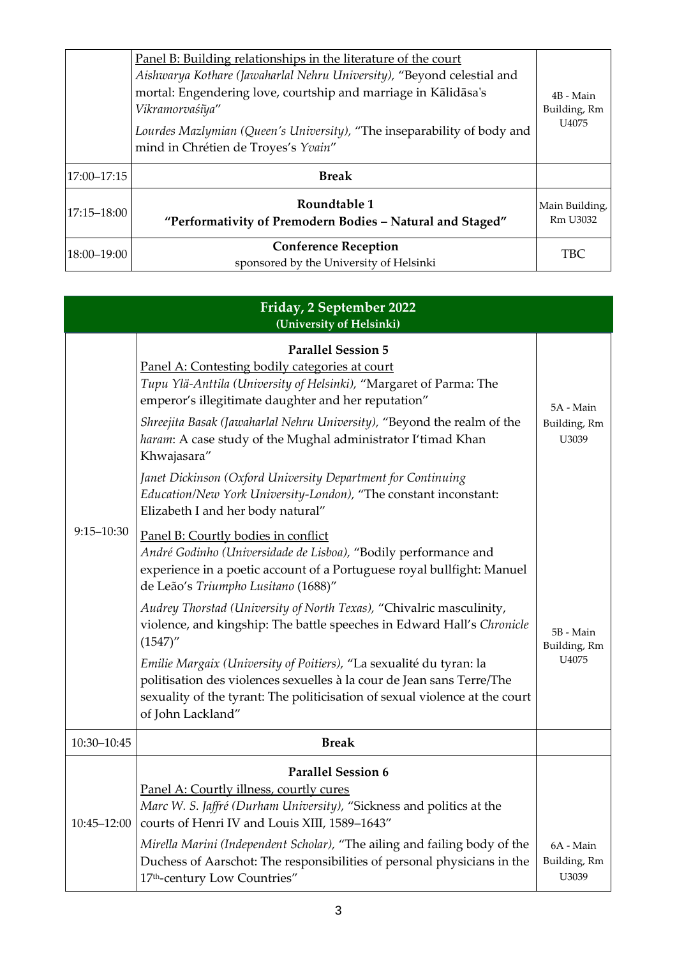|             | Panel B: Building relationships in the literature of the court<br>Aishwarya Kothare (Jawaharlal Nehru University), "Beyond celestial and<br>mortal: Engendering love, courtship and marriage in Kālidāsa's<br>Vikramorvaśīya"<br>Lourdes Mazlymian (Queen's University), "The inseparability of body and<br>mind in Chrétien de Troyes's Yvain" | 4B - Main<br>Building, Rm<br>U4075 |
|-------------|-------------------------------------------------------------------------------------------------------------------------------------------------------------------------------------------------------------------------------------------------------------------------------------------------------------------------------------------------|------------------------------------|
| 17:00-17:15 | <b>Break</b>                                                                                                                                                                                                                                                                                                                                    |                                    |
| 17:15-18:00 | Roundtable 1<br>"Performativity of Premodern Bodies - Natural and Staged"                                                                                                                                                                                                                                                                       | Main Building,<br>Rm U3032         |
| 18:00-19:00 | <b>Conference Reception</b><br>sponsored by the University of Helsinki                                                                                                                                                                                                                                                                          | TBC                                |

| Friday, 2 September 2022<br>(University of Helsinki) |                                                                                                                                                                                                                                                                                                                                                                                                                                                                                                                                                                                                                                           |                                    |
|------------------------------------------------------|-------------------------------------------------------------------------------------------------------------------------------------------------------------------------------------------------------------------------------------------------------------------------------------------------------------------------------------------------------------------------------------------------------------------------------------------------------------------------------------------------------------------------------------------------------------------------------------------------------------------------------------------|------------------------------------|
|                                                      | <b>Parallel Session 5</b><br>Panel A: Contesting bodily categories at court<br>Tupu Ylä-Anttila (University of Helsinki), "Margaret of Parma: The<br>emperor's illegitimate daughter and her reputation"<br>Shreejita Basak (Jawaharlal Nehru University), "Beyond the realm of the<br>haram: A case study of the Mughal administrator I'timad Khan<br>Khwajasara"<br>Janet Dickinson (Oxford University Department for Continuing                                                                                                                                                                                                        | 5A - Main<br>Building, Rm<br>U3039 |
|                                                      | Education/New York University-London), "The constant inconstant:<br>Elizabeth I and her body natural"                                                                                                                                                                                                                                                                                                                                                                                                                                                                                                                                     |                                    |
| $9:15 - 10:30$                                       | Panel B: Courtly bodies in conflict<br>André Godinho (Universidade de Lisboa), "Bodily performance and<br>experience in a poetic account of a Portuguese royal bullfight: Manuel<br>de Leão's Triumpho Lusitano (1688)"<br>Audrey Thorstad (University of North Texas), "Chivalric masculinity,<br>violence, and kingship: The battle speeches in Edward Hall's Chronicle<br>(1547)''<br>Emilie Margaix (University of Poitiers), "La sexualité du tyran: la<br>politisation des violences sexuelles à la cour de Jean sans Terre/The<br>sexuality of the tyrant: The politicisation of sexual violence at the court<br>of John Lackland" | 5B - Main<br>Building, Rm<br>U4075 |
| 10:30-10:45                                          | <b>Break</b>                                                                                                                                                                                                                                                                                                                                                                                                                                                                                                                                                                                                                              |                                    |
| 10:45-12:00                                          | <b>Parallel Session 6</b><br>Panel A: Courtly illness, courtly cures<br>Marc W. S. Jaffré (Durham University), "Sickness and politics at the<br>courts of Henri IV and Louis XIII, 1589-1643"<br>Mirella Marini (Independent Scholar), "The ailing and failing body of the<br>Duchess of Aarschot: The responsibilities of personal physicians in the<br>17th-century Low Countries"                                                                                                                                                                                                                                                      | 6A - Main<br>Building, Rm<br>U3039 |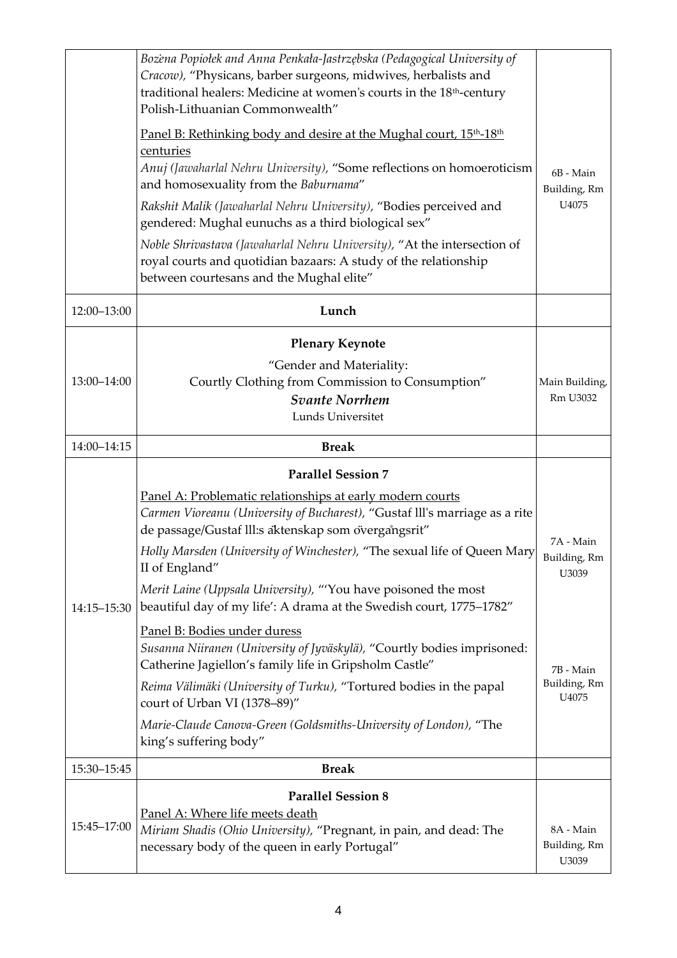|             | Bozena Popiołek and Anna Penkała-Jastrzębska (Pedagogical University of<br>Cracow), "Physicans, barber surgeons, midwives, herbalists and<br>traditional healers: Medicine at women's courts in the 18 <sup>th</sup> -century<br>Polish-Lithuanian Commonwealth"<br>Panel B: Rethinking body and desire at the Mughal court, 15 <sup>th</sup> -18 <sup>th</sup><br>centuries<br>Anuj (Jawaharlal Nehru University), "Some reflections on homoeroticism<br>and homosexuality from the Baburnama"<br>Rakshit Malik (Jawaharlal Nehru University), "Bodies perceived and<br>gendered: Mughal eunuchs as a third biological sex"<br>Noble Shrivastava (Jawaharlal Nehru University), "At the intersection of<br>royal courts and quotidian bazaars: A study of the relationship<br>between courtesans and the Mughal elite" | 6B - Main<br>Building, Rm<br>U4075 |
|-------------|-------------------------------------------------------------------------------------------------------------------------------------------------------------------------------------------------------------------------------------------------------------------------------------------------------------------------------------------------------------------------------------------------------------------------------------------------------------------------------------------------------------------------------------------------------------------------------------------------------------------------------------------------------------------------------------------------------------------------------------------------------------------------------------------------------------------------|------------------------------------|
| 12:00-13:00 | Lunch                                                                                                                                                                                                                                                                                                                                                                                                                                                                                                                                                                                                                                                                                                                                                                                                                   |                                    |
| 13:00-14:00 | <b>Plenary Keynote</b><br>"Gender and Materiality:<br>Courtly Clothing from Commission to Consumption"<br><b>Svante Norrhem</b><br>Lunds Universitet                                                                                                                                                                                                                                                                                                                                                                                                                                                                                                                                                                                                                                                                    | Main Building,<br>Rm U3032         |
| 14:00-14:15 | <b>Break</b>                                                                                                                                                                                                                                                                                                                                                                                                                                                                                                                                                                                                                                                                                                                                                                                                            |                                    |
|             | <b>Parallel Session 7</b><br>Panel A: Problematic relationships at early modern courts<br>Carmen Vioreanu (University of Bucharest), "Gustaf III's marriage as a rite<br>de passage/Gustaf III:s aktenskap som övergångsrit"                                                                                                                                                                                                                                                                                                                                                                                                                                                                                                                                                                                            |                                    |
| 14:15-15:30 | Holly Marsden (University of Winchester), "The sexual life of Queen Mary<br>II of England"<br>Merit Laine (Uppsala University), "'You have poisoned the most<br>beautiful day of my life': A drama at the Swedish court, 1775-1782"<br>Panel B: Bodies under duress<br>Susanna Niiranen (University of Jyväskylä), "Courtly bodies imprisoned:                                                                                                                                                                                                                                                                                                                                                                                                                                                                          | 7A - Main<br>Building, Rm<br>U3039 |
|             | Catherine Jagiellon's family life in Gripsholm Castle"<br>Reima Välimäki (University of Turku), "Tortured bodies in the papal<br>court of Urban VI (1378-89)"<br>Marie-Claude Canova-Green (Goldsmiths-University of London), "The<br>king's suffering body"                                                                                                                                                                                                                                                                                                                                                                                                                                                                                                                                                            | 7B - Main<br>Building, Rm<br>U4075 |
| 15:30-15:45 | <b>Break</b>                                                                                                                                                                                                                                                                                                                                                                                                                                                                                                                                                                                                                                                                                                                                                                                                            |                                    |